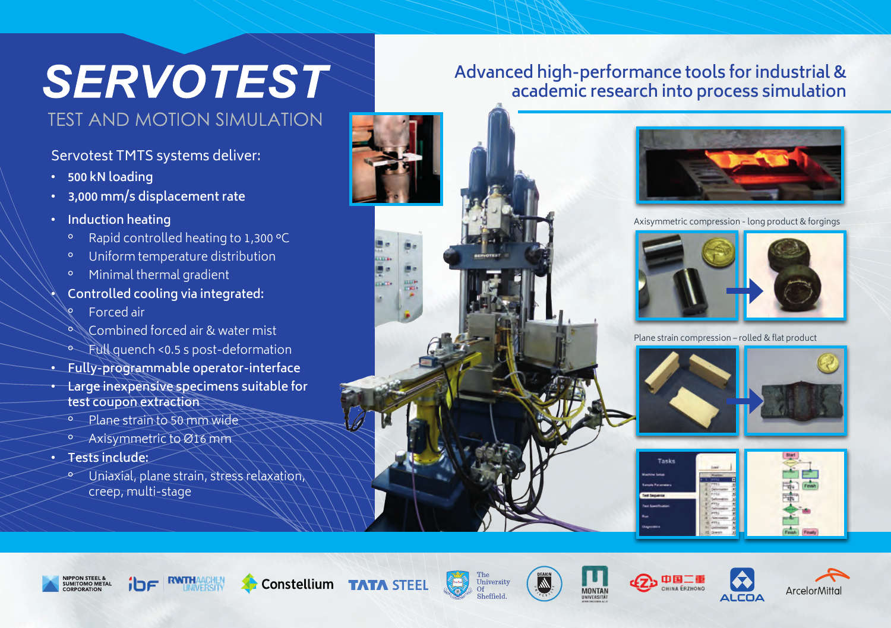# **SERVOTEST**

## **TEST AND MOTION SIMULATION**

#### Servotest TMTS systems deliver:

- **• 500 kN loading**
- **• 3,000 mm/s displacement rate**
- **• Induction heating**
	- ° Rapid controlled heating to 1,300 °C
	- ° Uniform temperature distribution
	- ° Minimal thermal gradient
- **• Controlled cooling via integrated:**
	- ° Forced air
	- ° Combined forced air & water mist
- ° Full quench <0.5 s post-deformation
- **• Fully-programmable operator-interface**
- **• Large inexpensive specimens suitable for test coupon extraction**
	- ° Plane strain to 50 mm wide
	- ° Axisymmetric to Ø16 mm
- **• Tests include:**
	- ° Uniaxial, plane strain, stress relaxation, creep, multi-stage

### **Advanced high-performance tools for industrial & academic research into process simulation**





Axisymmetric compression - long product & forgings



Plane strain compression – rolled & flat product











Constellium TATA STEEL